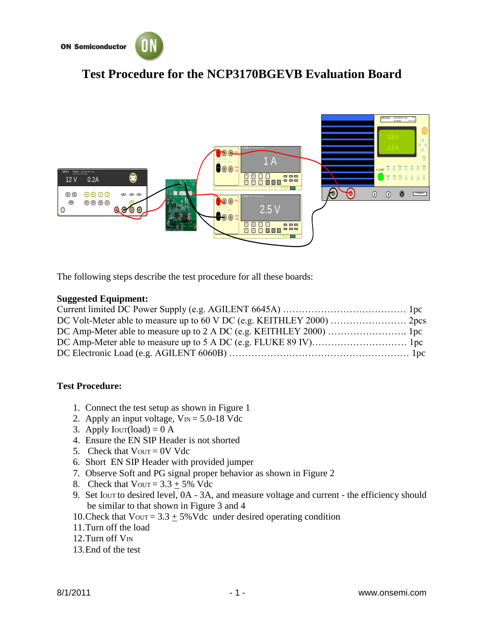

## **Test Procedure for the NCP3170BGEVB Evaluation Board**



The following steps describe the test procedure for all these boards:

## **Suggested Equipment:**

## **Test Procedure:**

- 1. Connect the test setup as shown in Figure 1
- 2. Apply an input voltage,  $V_{\text{IN}} = 5.0$ -18 Vdc
- 3. Apply  $Iovr (load) = 0$  A
- 4. Ensure the EN SIP Header is not shorted
- 5. Check that  $V_{\text{OUT}} = 0V$  Vdc
- 6. Short EN SIP Header with provided jumper
- 7. Observe Soft and PG signal proper behavior as shown in Figure 2
- 8. Check that  $V_{\text{OUT}} = 3.3 + 5\% \text{ Vdc}$
- 9. Set IOUT to desired level, 0A 3A, and measure voltage and current the efficiency should be similar to that shown in Figure 3 and 4
- 10. Check that  $V_{\text{OUT}} = 3.3 \pm 5\% \text{V}$ dc under desired operating condition
- 11.Turn off the load
- 12. Turn off  $V_{\text{IN}}$
- 13.End of the test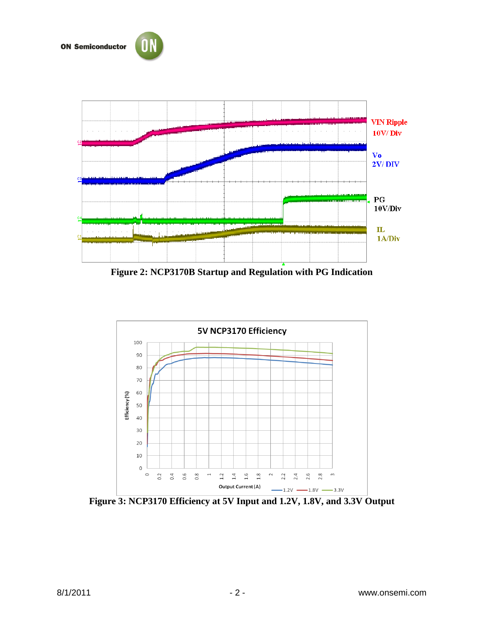



**Figure 2: NCP3170B Startup and Regulation with PG Indication** 



**Figure 3: NCP3170 Efficiency at 5V Input and 1.2V, 1.8V, and 3.3V Output**